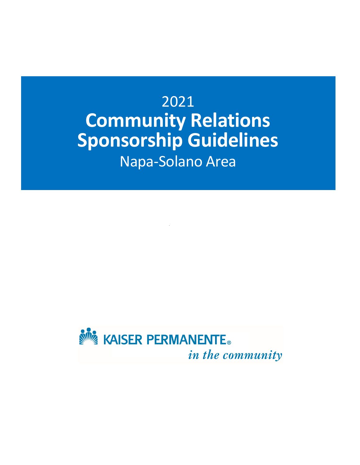# 2021 **Community Relations Sponsorship Guidelines** Napa-Solano Area

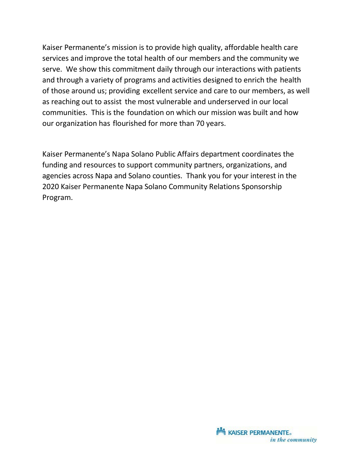Kaiser Permanente's mission is to provide high quality, affordable health care services and improve the total health of our members and the community we serve. We show this commitment daily through our interactions with patients and through a variety of programs and activities designed to enrich the health of those around us; providing excellent service and care to our members, as well as reaching out to assist the most vulnerable and underserved in our local communities. This is the foundation on which our mission was built and how our organization has flourished for more than 70 years.

Kaiser Permanente's Napa Solano Public Affairs department coordinates the funding and resources to support community partners, organizations, and agencies across Napa and Solano counties. Thank you for your interest in the 2020 Kaiser Permanente Napa Solano Community Relations Sponsorship Program.

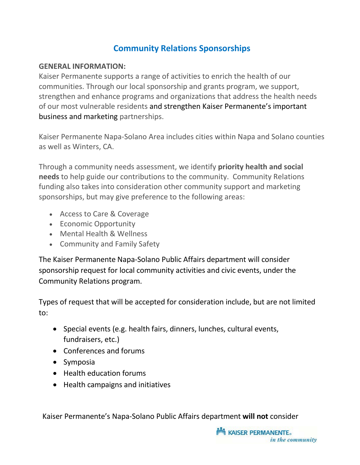# **Community Relations Sponsorships**

#### **GENERAL INFORMATION:**

Kaiser Permanente supports a range of activities to enrich the health of our communities. Through our local sponsorship and grants program, we support, strengthen and enhance programs and organizations that address the health needs of our most vulnerable residents and strengthen Kaiser Permanente's important business and marketing partnerships.

Kaiser Permanente Napa-Solano Area includes cities within Napa and Solano counties as well as Winters, CA.

Through a community needs assessment, we identify **priority health and social needs** to help guide our contributions to the community. Community Relations funding also takes into consideration other community support and marketing sponsorships, but may give preference to the following areas:

- Access to Care & Coverage
- Economic Opportunity
- Mental Health & Wellness
- Community and Family Safety

The Kaiser Permanente Napa-Solano Public Affairs department will consider sponsorship request for local community activities and civic events, under the Community Relations program.

Types of request that will be accepted for consideration include, but are not limited to:

- Special events (e.g. health fairs, dinners, lunches, cultural events, fundraisers, etc.)
- Conferences and forums
- Symposia
- Health education forums
- Health campaigns and initiatives

Kaiser Permanente's Napa-Solano Public Affairs department **will not** consider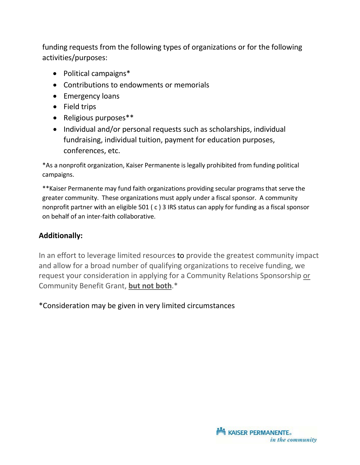funding requests from the following types of organizations or for the following activities/purposes:

- Political campaigns\*
- Contributions to endowments or memorials
- Emergency loans
- Field trips
- Religious purposes\*\*
- Individual and/or personal requests such as scholarships, individual fundraising, individual tuition, payment for education purposes, conferences, etc.

\*As a nonprofit organization, Kaiser Permanente is legally prohibited from funding political campaigns.

\*\*Kaiser Permanente may fund faith organizations providing secular programs that serve the greater community. These organizations must apply under a fiscal sponsor. A community nonprofit partner with an eligible 501 ( c ) 3 IRS status can apply for funding as a fiscal sponsor on behalf of an inter-faith collaborative.

# **Additionally:**

In an effort to leverage limited resources to provide the greatest community impact and allow for a broad number of qualifying organizations to receive funding, we request your consideration in applying for a Community Relations Sponsorship or Community Benefit Grant, **but not both**.\*

\*Consideration may be given in very limited circumstances

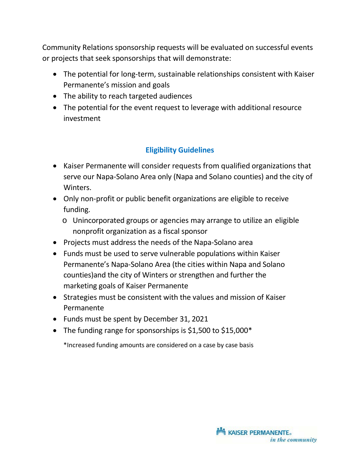Community Relations sponsorship requests will be evaluated on successful events or projects that seek sponsorships that will demonstrate:

- The potential for long-term, sustainable relationships consistent with Kaiser Permanente's mission and goals
- The ability to reach targeted audiences
- The potential for the event request to leverage with additional resource investment

# **Eligibility Guidelines**

- Kaiser Permanente will consider requests from qualified organizations that serve our Napa-Solano Area only (Napa and Solano counties) and the city of Winters.
- Only non-profit or public benefit organizations are eligible to receive funding.
	- o Unincorporated groups or agencies may arrange to utilize an eligible nonprofit organization as a fiscal sponsor
- Projects must address the needs of the Napa-Solano area
- Funds must be used to serve vulnerable populations within Kaiser Permanente's Napa-Solano Area (the cities within Napa and Solano counties)and the city of Winters or strengthen and further the marketing goals of Kaiser Permanente
- Strategies must be consistent with the values and mission of Kaiser Permanente
- Funds must be spent by December 31, 2021
- The funding range for sponsorships is \$1,500 to \$15,000\*

\*Increased funding amounts are considered on a case by case basis

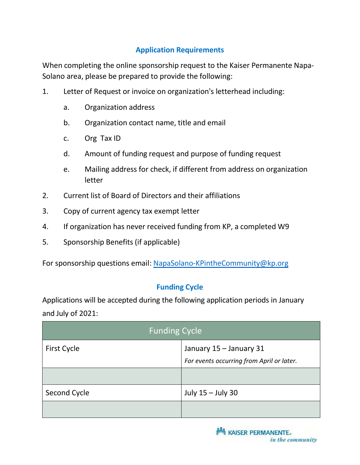# **Application Requirements**

When completing the online sponsorship request to the Kaiser Permanente Napa-Solano area, please be prepared to provide the following:

- 1. Letter of Request or invoice on organization's letterhead including:
	- a. Organization address
	- b. Organization contact name, title and email
	- c. Org Tax ID
	- d. Amount of funding request and purpose of funding request
	- e. Mailing address for check, if different from address on organization letter
- 2. Current list of Board of Directors and their affiliations
- 3. Copy of current agency tax exempt letter
- 4. If organization has never received funding from KP, a completed W9
- 5. Sponsorship Benefits (if applicable)

For sponsorship questions email: [NapaSolano-KPintheCommunity@kp.org](mailto:NapaSolano-KPintheCommunity@kp.org)

#### **Funding Cycle**

Applications will be accepted during the following application periods in January and July of 2021:

| <b>Funding Cycle</b> |                                                                      |
|----------------------|----------------------------------------------------------------------|
| <b>First Cycle</b>   | January 15 - January 31<br>For events occurring from April or later. |
|                      |                                                                      |
| Second Cycle         | July 15 - July 30                                                    |
|                      |                                                                      |